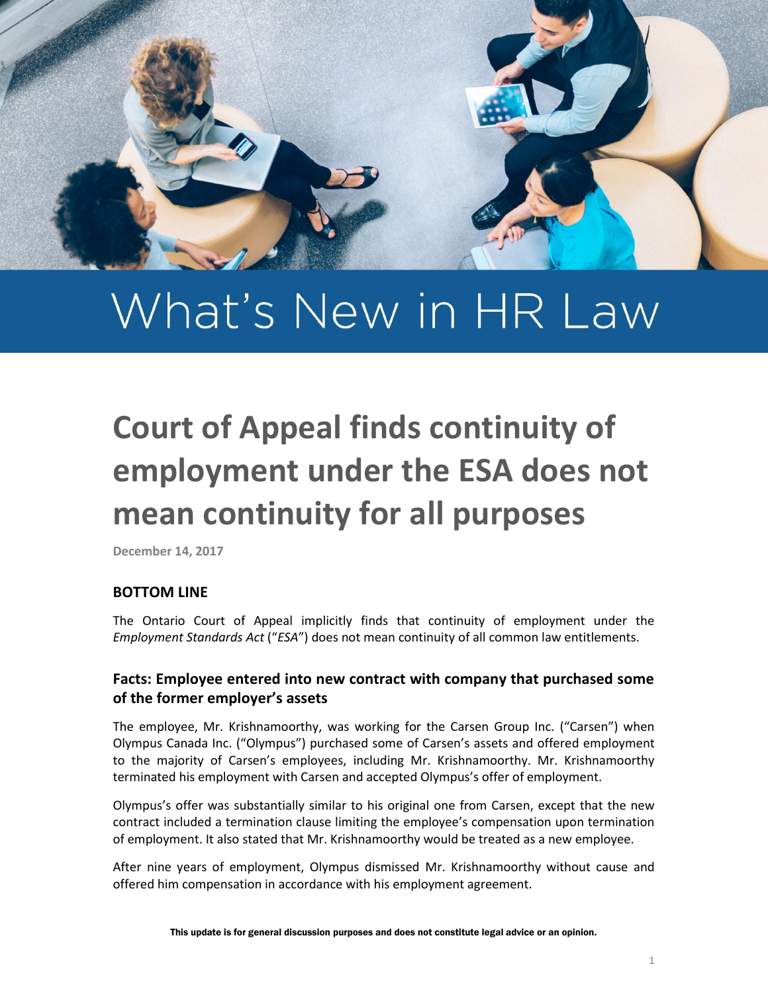

# What's New in HR Law

# **Court of Appeal finds continuity of employment under the ESA does not mean continuity for all purposes**

**December 14, 2017**

#### **BOTTOM LINE**

The Ontario Court of Appeal implicitly finds that continuity of employment under the *Employment Standards Act* ("*ESA*") does not mean continuity of all common law entitlements.

## **Facts: Employee entered into new contract with company that purchased some of the former employer's assets**

The employee, Mr. Krishnamoorthy, was working for the Carsen Group Inc. ("Carsen") when Olympus Canada Inc. ("Olympus") purchased some of Carsen's assets and offered employment to the majority of Carsen's employees, including Mr. Krishnamoorthy. Mr. Krishnamoorthy terminated his employment with Carsen and accepted Olympus's offer of employment.

Olympus's offer was substantially similar to his original one from Carsen, except that the new contract included a termination clause limiting the employee's compensation upon termination of employment. It also stated that Mr. Krishnamoorthy would be treated as a new employee.

After nine years of employment, Olympus dismissed Mr. Krishnamoorthy without cause and offered him compensation in accordance with his employment agreement.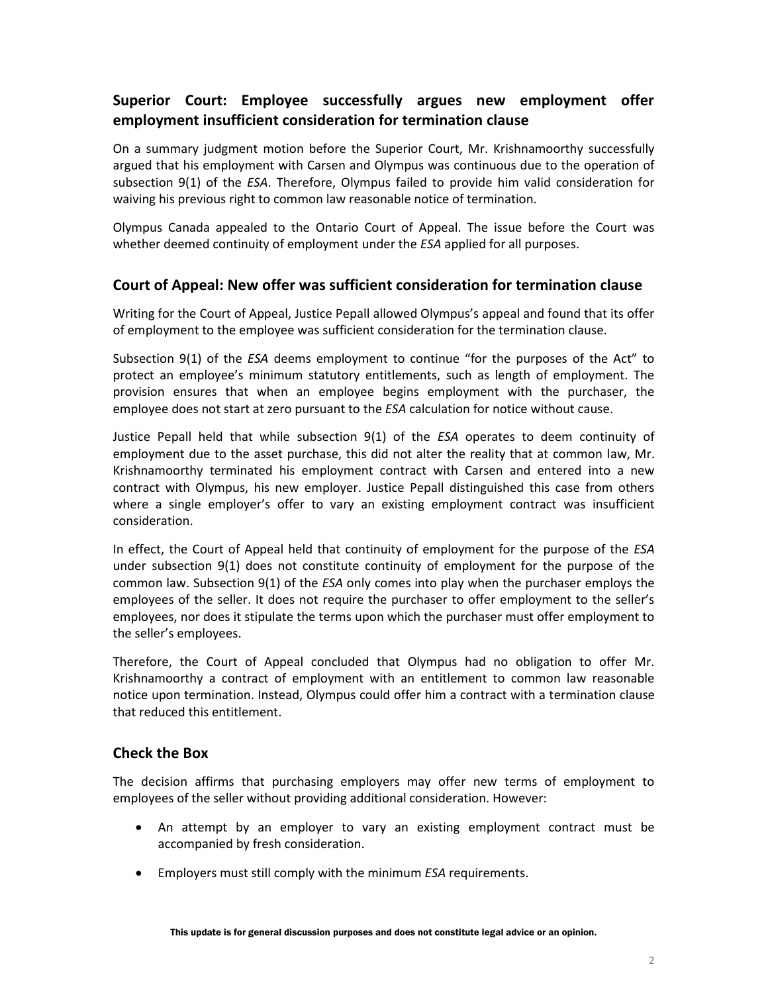# **Superior Court: Employee successfully argues new employment offer employment insufficient consideration for termination clause**

On a summary judgment motion before the Superior Court, Mr. Krishnamoorthy successfully argued that his employment with Carsen and Olympus was continuous due to the operation of subsection 9(1) of the *ESA*. Therefore, Olympus failed to provide him valid consideration for waiving his previous right to common law reasonable notice of termination.

Olympus Canada appealed to the Ontario Court of Appeal. The issue before the Court was whether deemed continuity of employment under the *ESA* applied for all purposes.

#### **Court of Appeal: New offer was sufficient consideration for termination clause**

Writing for the Court of Appeal, Justice Pepall allowed Olympus's appeal and found that its offer of employment to the employee was sufficient consideration for the termination clause.

Subsection 9(1) of the *ESA* deems employment to continue "for the purposes of the Act" to protect an employee's minimum statutory entitlements, such as length of employment. The provision ensures that when an employee begins employment with the purchaser, the employee does not start at zero pursuant to the *ESA* calculation for notice without cause.

Justice Pepall held that while subsection 9(1) of the *ESA* operates to deem continuity of employment due to the asset purchase, this did not alter the reality that at common law, Mr. Krishnamoorthy terminated his employment contract with Carsen and entered into a new contract with Olympus, his new employer. Justice Pepall distinguished this case from others where a single employer's offer to vary an existing employment contract was insufficient consideration.

In effect, the Court of Appeal held that continuity of employment for the purpose of the *ESA* under subsection 9(1) does not constitute continuity of employment for the purpose of the common law. Subsection 9(1) of the *ESA* only comes into play when the purchaser employs the employees of the seller. It does not require the purchaser to offer employment to the seller's employees, nor does it stipulate the terms upon which the purchaser must offer employment to the seller's employees.

Therefore, the Court of Appeal concluded that Olympus had no obligation to offer Mr. Krishnamoorthy a contract of employment with an entitlement to common law reasonable notice upon termination. Instead, Olympus could offer him a contract with a termination clause that reduced this entitlement.

## **Check the Box**

The decision affirms that purchasing employers may offer new terms of employment to employees of the seller without providing additional consideration. However:

- An attempt by an employer to vary an existing employment contract must be accompanied by fresh consideration.
- Employers must still comply with the minimum *ESA* requirements.